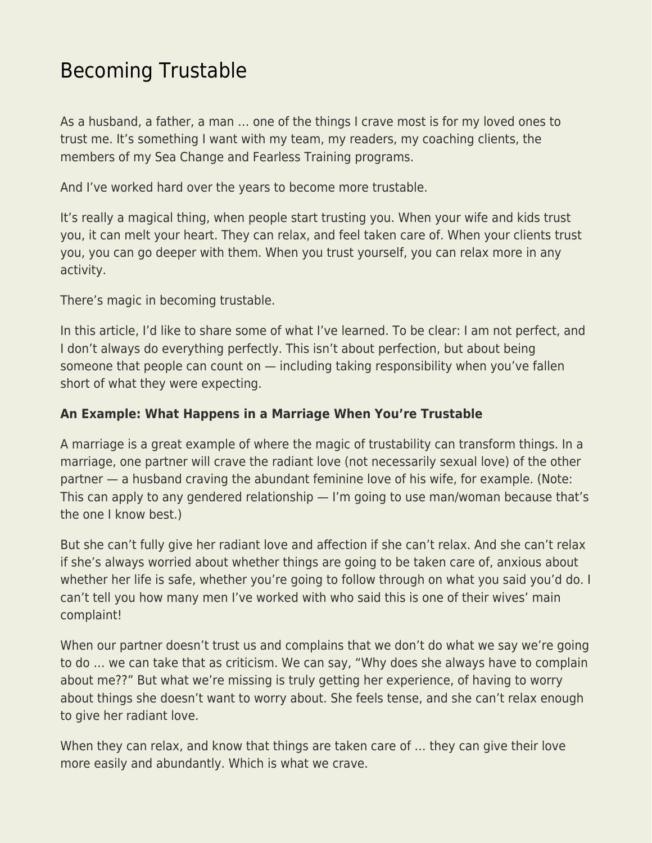## [Becoming Trustable](https://everything-voluntary.com/becoming-trustable)

As a husband, a father, a man … one of the things I crave most is for my loved ones to trust me. It's something I want with my team, my readers, my coaching clients, the members of my Sea Change and Fearless Training programs.

And I've worked hard over the years to become more trustable.

It's really a magical thing, when people start trusting you. When your wife and kids trust you, it can melt your heart. They can relax, and feel taken care of. When your clients trust you, you can go deeper with them. When you trust yourself, you can relax more in any activity.

There's magic in becoming trustable.

In this article, I'd like to share some of what I've learned. To be clear: I am not perfect, and I don't always do everything perfectly. This isn't about perfection, but about being someone that people can count on — including taking responsibility when you've fallen short of what they were expecting.

## **An Example: What Happens in a Marriage When You're Trustable**

A marriage is a great example of where the magic of trustability can transform things. In a marriage, one partner will crave the radiant love (not necessarily sexual love) of the other partner — a husband craving the abundant feminine love of his wife, for example. (Note: This can apply to any gendered relationship — I'm going to use man/woman because that's the one I know best.)

But she can't fully give her radiant love and affection if she can't relax. And she can't relax if she's always worried about whether things are going to be taken care of, anxious about whether her life is safe, whether you're going to follow through on what you said you'd do. I can't tell you how many men I've worked with who said this is one of their wives' main complaint!

When our partner doesn't trust us and complains that we don't do what we say we're going to do … we can take that as criticism. We can say, "Why does she always have to complain about me??" But what we're missing is truly getting her experience, of having to worry about things she doesn't want to worry about. She feels tense, and she can't relax enough to give her radiant love.

When they can relax, and know that things are taken care of … they can give their love more easily and abundantly. Which is what we crave.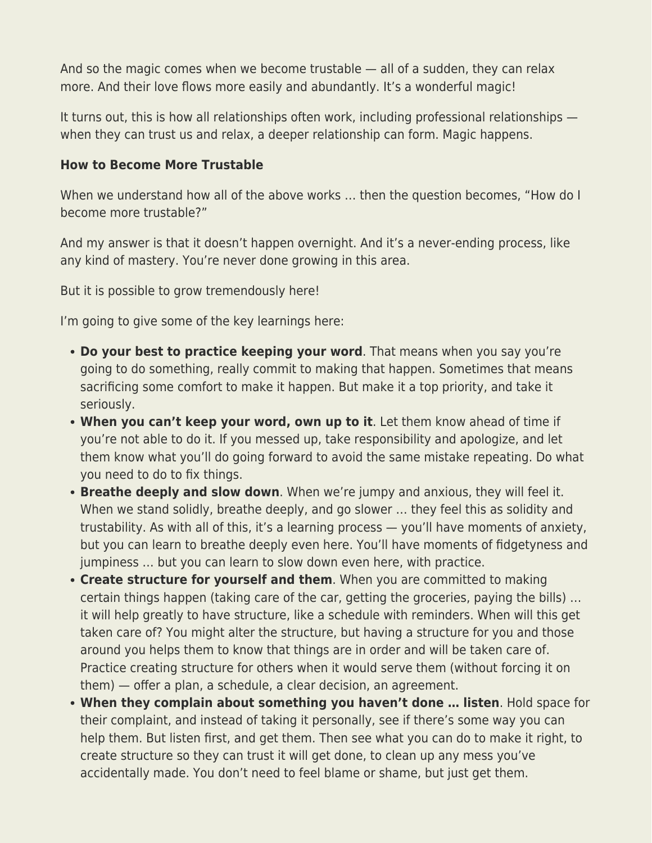And so the magic comes when we become trustable — all of a sudden, they can relax more. And their love flows more easily and abundantly. It's a wonderful magic!

It turns out, this is how all relationships often work, including professional relationships when they can trust us and relax, a deeper relationship can form. Magic happens.

## **How to Become More Trustable**

When we understand how all of the above works … then the question becomes, "How do I become more trustable?"

And my answer is that it doesn't happen overnight. And it's a never-ending process, like any kind of mastery. You're never done growing in this area.

But it is possible to grow tremendously here!

I'm going to give some of the key learnings here:

- **Do your best to practice keeping your word**. That means when you say you're going to do something, really commit to making that happen. Sometimes that means sacrificing some comfort to make it happen. But make it a top priority, and take it seriously.
- **When you can't keep your word, own up to it**. Let them know ahead of time if you're not able to do it. If you messed up, take responsibility and apologize, and let them know what you'll do going forward to avoid the same mistake repeating. Do what you need to do to fix things.
- **Breathe deeply and slow down**. When we're jumpy and anxious, they will feel it. When we stand solidly, breathe deeply, and go slower ... they feel this as solidity and trustability. As with all of this, it's a learning process — you'll have moments of anxiety, but you can learn to breathe deeply even here. You'll have moments of fidgetyness and jumpiness … but you can learn to slow down even here, with practice.
- **Create structure for yourself and them**. When you are committed to making certain things happen (taking care of the car, getting the groceries, paying the bills) … it will help greatly to have structure, like a schedule with reminders. When will this get taken care of? You might alter the structure, but having a structure for you and those around you helps them to know that things are in order and will be taken care of. Practice creating structure for others when it would serve them (without forcing it on them) — offer a plan, a schedule, a clear decision, an agreement.
- **When they complain about something you haven't done … listen**. Hold space for their complaint, and instead of taking it personally, see if there's some way you can help them. But listen first, and get them. Then see what you can do to make it right, to create structure so they can trust it will get done, to clean up any mess you've accidentally made. You don't need to feel blame or shame, but just get them.